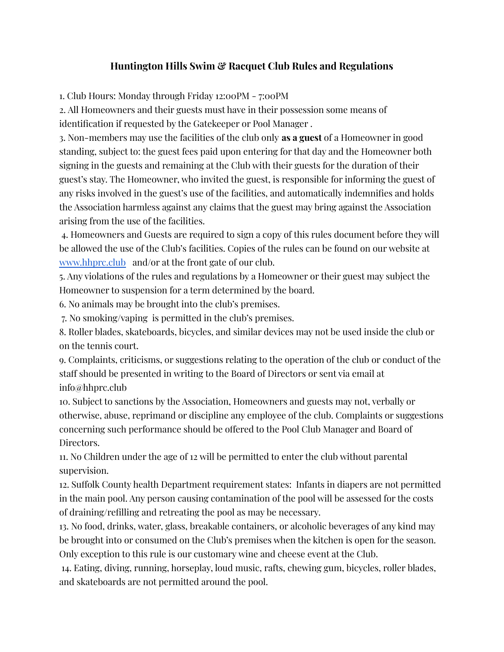## **Huntington Hills Swim & Racquet Club Rules and Regulations**

1. Club Hours: Monday through Friday 12:00PM - 7:00PM

2. All Homeowners and their guests must have in their possession some means of identification if requested by the Gatekeeper or Pool Manager .

3. Non-members may use the facilities of the club only **as a guest** of a Homeowner in good standing, subject to: the guest fees paid upon entering for that day and the Homeowner both signing in the guests and remaining at the Club with their guests for the duration of their guest's stay. The Homeowner, who invited the guest, is responsible for informing the guest of any risks involved in the guest's use of the facilities, and automatically indemnifies and holds the Association harmless against any claims that the guest may bring against the Association arising from the use of the facilities.

4. Homeowners and Guests are required to sign a copy of this rules document before they will be allowed the use of the Club's facilities. Copies of the rules can be found on our website at [www.hhprc.club](http://www.hhprc.club) and/or at the front gate of our club.

5. Any violations of the rules and regulations by a Homeowner or their guest may subject the Homeowner to suspension for a term determined by the board.

6. No animals may be brought into the club's premises.

7. No smoking/vaping is permitted in the club's premises.

8. Roller blades, skateboards, bicycles, and similar devices may not be used inside the club or on the tennis court.

9. Complaints, criticisms, or suggestions relating to the operation of the club or conduct of the staff should be presented in writing to the Board of Directors or sent via email at info@hhprc.club

10. Subject to sanctions by the Association, Homeowners and guests may not, verbally or otherwise, abuse, reprimand or discipline any employee of the club. Complaints or suggestions concerning such performance should be offered to the Pool Club Manager and Board of Directors.

11. No Children under the age of 12 will be permitted to enter the club without parental supervision.

12. Suffolk County health Department requirement states: Infants in diapers are not permitted in the main pool. Any person causing contamination of the pool will be assessed for the costs of draining/refilling and retreating the pool as may be necessary.

13. No food, drinks, water, glass, breakable containers, or alcoholic beverages of any kind may be brought into or consumed on the Club's premises when the kitchen is open for the season. Only exception to this rule is our customary wine and cheese event at the Club.

14. Eating, diving, running, horseplay, loud music, rafts, chewing gum, bicycles, roller blades, and skateboards are not permitted around the pool.